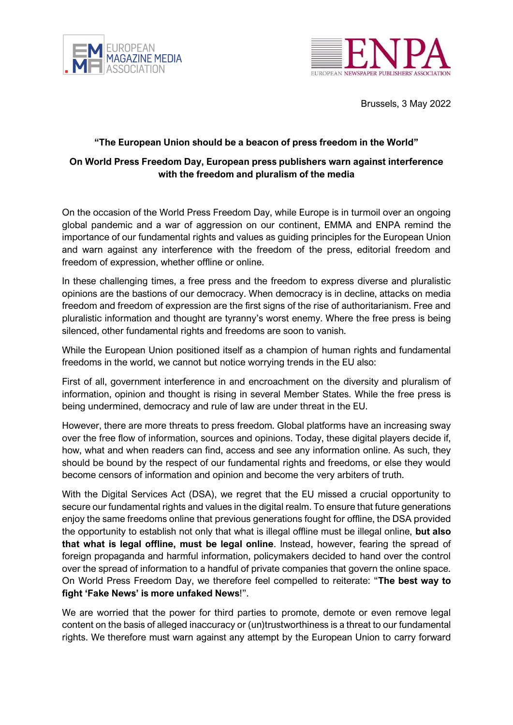



Brussels, 3 May 2022

## **"The European Union should be a beacon of press freedom in the World"**

## **On World Press Freedom Day, European press publishers warn against interference with the freedom and pluralism of the media**

On the occasion of the World Press Freedom Day, while Europe is in turmoil over an ongoing global pandemic and a war of aggression on our continent, EMMA and ENPA remind the importance of our fundamental rights and values as guiding principles for the European Union and warn against any interference with the freedom of the press, editorial freedom and freedom of expression, whether offline or online.

In these challenging times, a free press and the freedom to express diverse and pluralistic opinions are the bastions of our democracy. When democracy is in decline, attacks on media freedom and freedom of expression are the first signs of the rise of authoritarianism. Free and pluralistic information and thought are tyranny's worst enemy. Where the free press is being silenced, other fundamental rights and freedoms are soon to vanish.

While the European Union positioned itself as a champion of human rights and fundamental freedoms in the world, we cannot but notice worrying trends in the EU also:

First of all, government interference in and encroachment on the diversity and pluralism of information, opinion and thought is rising in several Member States. While the free press is being undermined, democracy and rule of law are under threat in the EU.

However, there are more threats to press freedom. Global platforms have an increasing sway over the free flow of information, sources and opinions. Today, these digital players decide if, how, what and when readers can find, access and see any information online. As such, they should be bound by the respect of our fundamental rights and freedoms, or else they would become censors of information and opinion and become the very arbiters of truth.

With the Digital Services Act (DSA), we regret that the EU missed a crucial opportunity to secure our fundamental rights and values in the digital realm. To ensure that future generations enjoy the same freedoms online that previous generations fought for offline, the DSA provided the opportunity to establish not only that what is illegal offline must be illegal online, **but also that what is legal offline, must be legal online**. Instead, however, fearing the spread of foreign propaganda and harmful information, policymakers decided to hand over the control over the spread of information to a handful of private companies that govern the online space. On World Press Freedom Day, we therefore feel compelled to reiterate: "**The best way to fight 'Fake News' is more unfaked News**!".

We are worried that the power for third parties to promote, demote or even remove legal content on the basis of alleged inaccuracy or (un)trustworthiness is a threat to our fundamental rights. We therefore must warn against any attempt by the European Union to carry forward